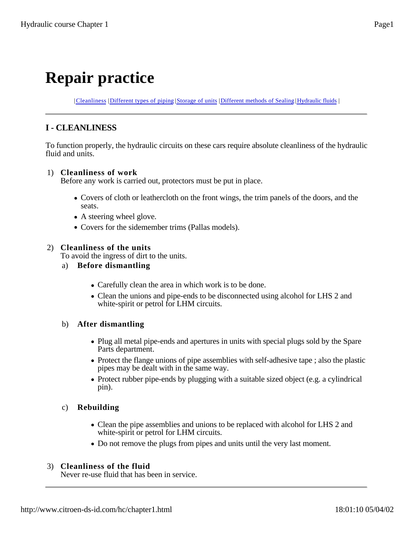# **Repair practice**

| Cleanliness | Different types of piping | Storage of units | Different methods of Sealing | Hydraulic fluids |

# **I - CLEANLINESS**

To function properly, the hydraulic circuits on these cars require absolute cleanliness of the hydraulic fluid and units.

## 1) **Cleanliness of work**

Before any work is carried out, protectors must be put in place.

- Covers of cloth or leathercloth on the front wings, the trim panels of the doors, and the seats.
- A steering wheel glove.
- Covers for the sidemember trims (Pallas models).

# 2) **Cleanliness of the units**

To avoid the ingress of dirt to the units.

- a) **Before dismantling**
	- Carefully clean the area in which work is to be done.
	- Clean the unions and pipe-ends to be disconnected using alcohol for LHS 2 and white-spirit or petrol for LHM circuits.

# b) **After dismantling**

- Plug all metal pipe-ends and apertures in units with special plugs sold by the Spare Parts department.
- Protect the flange unions of pipe assemblies with self-adhesive tape; also the plastic pipes may be dealt with in the same way.
- Protect rubber pipe-ends by plugging with a suitable sized object (e.g. a cylindrical pin).

# c) **Rebuilding**

- Clean the pipe assemblies and unions to be replaced with alcohol for LHS 2 and white-spirit or petrol for LHM circuits.
- Do not remove the plugs from pipes and units until the very last moment.

# 3) **Cleanliness of the fluid**

Never re-use fluid that has been in service.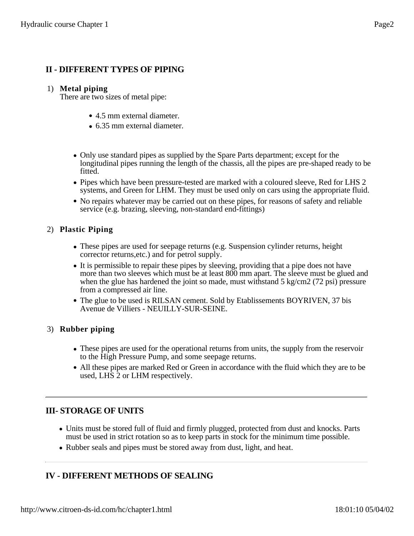# **II - DIFFERENT TYPES OF PIPING**

#### 1) **Metal piping**

There are two sizes of metal pipe:

- 4.5 mm external diameter.
- 6.35 mm external diameter.
- Only use standard pipes as supplied by the Spare Parts department; except for the longitudinal pipes running the length of the chassis, all the pipes are pre-shaped ready to be fitted.
- Pipes which have been pressure-tested are marked with a coloured sleeve, Red for LHS 2 systems, and Green for LHM. They must be used only on cars using the appropriate fluid.
- No repairs whatever may be carried out on these pipes, for reasons of safety and reliable service (e.g. brazing, sleeving, non-standard end-fittings)

#### 2) **Plastic Piping**

- These pipes are used for seepage returns (e.g. Suspension cylinder returns, height corrector returns,etc.) and for petrol supply.
- It is permissible to repair these pipes by sleeving, providing that a pipe does not have more than two sleeves which must be at least 800 mm apart. The sleeve must be glued and when the glue has hardened the joint so made, must withstand  $5 \text{ kg/cm2}$  (72 psi) pressure from a compressed air line.
- The glue to be used is RILSAN cement. Sold by Etablissements BOYRIVEN, 37 bis Avenue de Villiers - NEUILLY-SUR-SEINE.

#### 3) **Rubber piping**

- These pipes are used for the operational returns from units, the supply from the reservoir to the High Pressure Pump, and some seepage returns.
- All these pipes are marked Red or Green in accordance with the fluid which they are to be used, LHS 2 or LHM respectively.

# **III- STORAGE OF UNITS**

- Units must be stored full of fluid and firmly plugged, protected from dust and knocks. Parts must be used in strict rotation so as to keep parts in stock for the minimum time possible.
- Rubber seals and pipes must be stored away from dust, light, and heat.

# **IV - DIFFERENT METHODS OF SEALING**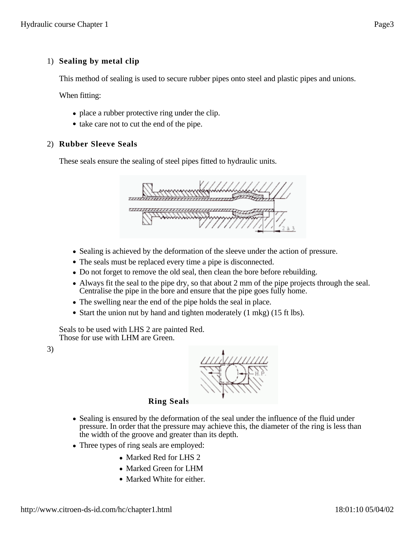## 1) **Sealing by metal clip**

This method of sealing is used to secure rubber pipes onto steel and plastic pipes and unions.

When fitting:

- place a rubber protective ring under the clip.
- take care not to cut the end of the pipe.

#### 2) **Rubber Sleeve Seals**

These seals ensure the sealing of steel pipes fitted to hydraulic units.



- Sealing is achieved by the deformation of the sleeve under the action of pressure.
- The seals must be replaced every time a pipe is disconnected.
- Do not forget to remove the old seal, then clean the bore before rebuilding.
- Always fit the seal to the pipe dry, so that about 2 mm of the pipe projects through the seal. Centralise the pipe in the bore and ensure that the pipe goes fully home.
- The swelling near the end of the pipe holds the seal in place.
- Start the union nut by hand and tighten moderately (1 mkg) (15 ft lbs).

Seals to be used with LHS 2 are painted Red. Those for use with LHM are Green.

3)



#### **Ring Seals**

- Sealing is ensured by the deformation of the seal under the influence of the fluid under pressure. In order that the pressure may achieve this, the diameter of the ring is less than the width of the groove and greater than its depth.
- Three types of ring seals are employed:
	- Marked Red for LHS 2
	- Marked Green for LHM
	- Marked White for either.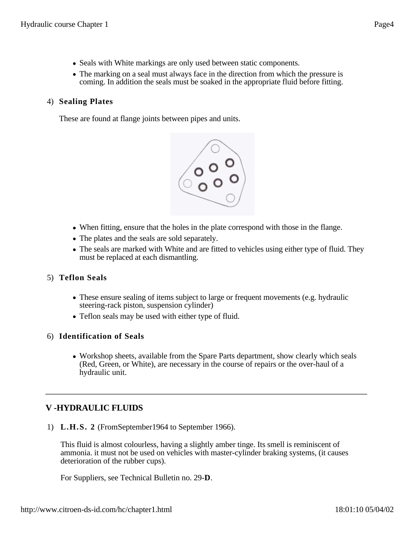- Seals with White markings are only used between static components.
- The marking on a seal must always face in the direction from which the pressure is coming. In addition the seals must be soaked in the appropriate fluid before fitting.

#### 4) **Sealing Plates**

These are found at flange joints between pipes and units.



- When fitting, ensure that the holes in the plate correspond with those in the flange.
- The plates and the seals are sold separately.
- The seals are marked with White and are fitted to vehicles using either type of fluid. They must be replaced at each dismantling.

#### 5) **Teflon Seals**

- These ensure sealing of items subject to large or frequent movements (e.g. hydraulic steering-rack piston, suspension cylinder)
- Teflon seals may be used with either type of fluid.

#### 6) **Identification of Seals**

• Workshop sheets, available from the Spare Parts department, show clearly which seals (Red, Green, or White), are necessary in the course of repairs or the over-haul of a hydraulic unit.

# **V -HYDRAULIC FLUIDS**

1) **L.H.S. 2** (FromSeptember1964 to September 1966).

This fluid is almost colourless, having a slightly amber tinge. Its smell is reminiscent of ammonia. it must not be used on vehicles with master-cylinder braking systems, (it causes deterioration of the rubber cups).

For Suppliers, see Technical Bulletin no. 29-**D**.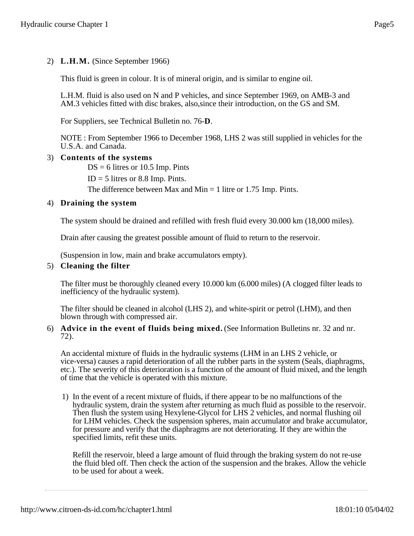# 2) **L.H.M.** (Since September 1966)

This fluid is green in colour. It is of mineral origin, and is similar to engine oil.

L.H.M. fluid is also used on N and P vehicles, and since September 1969, on AMB-3 and AM.3 vehicles fitted with disc brakes, also,since their introduction, on the GS and SM.

For Suppliers, see Technical Bulletin no. 76-**D**.

NOTE : From September 1966 to December 1968, LHS 2 was still supplied in vehicles for the U.S.A. and Canada.

#### 3) **Contents of the systems**

 $DS = 6$  litres or 10.5 Imp. Pints

 $ID = 5$  litres or 8.8 Imp. Pints.

The difference between Max and Min  $=$  1 litre or 1.75 Imp. Pints.

#### 4) **Draining the system**

The system should be drained and refilled with fresh fluid every 30.000 km (18,000 miles).

Drain after causing the greatest possible amount of fluid to return to the reservoir.

(Suspension in low, main and brake accumulators empty).

#### 5) **Cleaning the filter**

The filter must be thoroughly cleaned every 10.000 km (6.000 miles) (A clogged filter leads to inefficiency of the hydraulic system).

The filter should be cleaned in alcohol (LHS 2), and white-spirit or petrol (LHM), and then blown through with compressed air.

#### 6) **Advice in the event of fluids being mixed.** (See Information Bulletins nr. 32 and nr. 72).

An accidental mixture of fluids in the hydraulic systems (LHM in an LHS 2 vehicle, or vice-versa) causes a rapid deterioration of all the rubber parts in the system (Seals, diaphragms, etc.). The severity of this deterioration is a function of the amount of fluid mixed, and the length of time that the vehicle is operated with this mixture.

1) In the event of a recent mixture of fluids, if there appear to be no malfunctions of the hydraulic system, drain the system after returning as much fluid as possible to the reservoir. Then flush the system using Hexylene-Glycol for LHS 2 vehicles, and normal flushing oil for LHM vehicles. Check the suspension spheres, main accumulator and brake accumulator, for pressure and verify that the diaphragms are not deteriorating. If they are within the specified limits, refit these units.

Refill the reservoir, bleed a large amount of fluid through the braking system do not re-use the fluid bled off. Then check the action of the suspension and the brakes. Allow the vehicle to be used for about a week.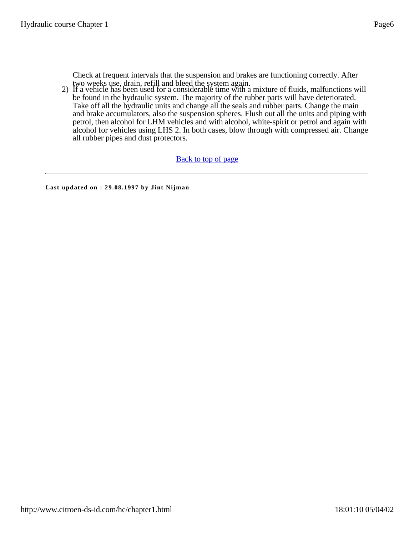Check at frequent intervals that the suspension and brakes are functioning correctly. After two weeks use, drain, refill and bleed the system again.

2) If a vehicle has been used for a considerable time with a mixture of fluids, malfunctions will be found in the hydraulic system. The majority of the rubber parts will have deteriorated. Take off all the hydraulic units and change all the seals and rubber parts. Change the main and brake accumulators, also the suspension spheres. Flush out all the units and piping with petrol, then alcohol for LHM vehicles and with alcohol, white-spirit or petrol and again with alcohol for vehicles using LHS 2. In both cases, blow through with compressed air. Change all rubber pipes and dust protectors.

#### Back to top of page

**Last updated on : 29.08.1997 by Jint Nijman**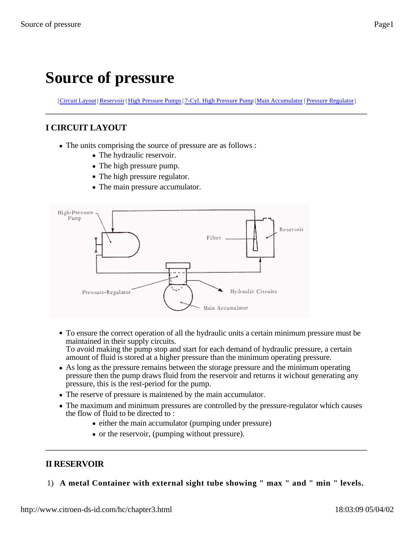# **Source of pressure**

| Circuit Layout | Reservoir | High Pressure Pumps | 7-Cyl. High Pressure Pump | Main Accumulator | Pressure Regulator |

# **I CIRCUIT LAYOUT**

- The units comprising the source of pressure are as follows :
	- The hydraulic reservoir.
	- The high pressure pump.
	- The high pressure regulator.
	- The main pressure accumulator.



To ensure the correct operation of all the hydraulic units a certain minimum pressure must be maintained in their supply circuits.

To avoid making the pump stop and start for each demand of hydraulic pressure, a certain amount of fluid is stored at a higher pressure than the minimum operating pressure.

- As long as the pressure remains between the storage pressure and the minimum operating pressure then the pump draws fluid from the reservoir and returns it wichout generating any pressure, this is the rest-period for the pump.
- The reserve of pressure is maintened by the main accumulator.
- The maximum and minimum pressures are controlled by the pressure-regulator which causes the flow of fluid to be directed to :
	- either the main accumulator (pumping under pressure)
	- or the reservoir, (pumping without pressure).

# **II RESERVOIR**

1) **A metal Container with external sight tube showing " max " and " min " levels.**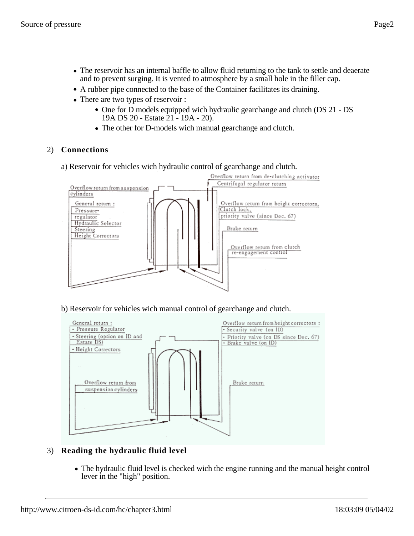- A rubber pipe connected to the base of the Container facilitates its draining.
- There are two types of reservoir :
	- One for D models equipped wich hydraulic gearchange and clutch (DS 21 DS) 19A DS 20 - Estate 21 - 19A - 20).
	- The other for D-models wich manual gearchange and clutch.

## 2) **Connections**

a) Reservoir for vehicles wich hydraulic control of gearchange and clutch.



b) Reservoir for vehicles wich manual control of gearchange and clutch.



# 3) **Reading the hydraulic fluid level**

The hydraulic fluid level is checked wich the engine running and the manual height control lever in the "high" position.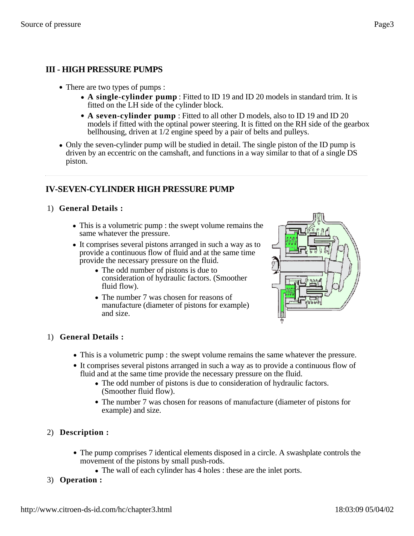# **III - HIGH PRESSURE PUMPS**

- There are two types of pumps :
	- **A single-cylinder pump** : Fitted to ID 19 and ID 20 models in standard trim. It is fitted on the LH side of the cylinder block.
	- **A seven-cylinder pump** : Fitted to all other D models, also to ID 19 and ID 20 models if fitted with the optinal power steering. It is fitted on the RH side of the gearbox bellhousing, driven at 1/2 engine speed by a pair of belts and pulleys.
- Only the seven-cylinder pump will be studied in detail. The single piston of the ID pump is driven by an eccentric on the camshaft, and functions in a way similar to that of a single DS piston.

# **IV-SEVEN-CYLINDER HIGH PRESSURE PUMP**

## 1) **General Details :**

- This is a volumetric pump : the swept volume remains the same whatever the pressure.
- It comprises several pistons arranged in such a way as to provide a continuous flow of fluid and at the same time provide the necessary pressure on the fluid.
	- The odd number of pistons is due to consideration of hydraulic factors. (Smoother fluid flow).
	- The number 7 was chosen for reasons of manufacture (diameter of pistons for example) and size.



# 1) **General Details :**

- This is a volumetric pump : the swept volume remains the same whatever the pressure.
- It comprises several pistons arranged in such a way as to provide a continuous flow of fluid and at the same time provide the necessary pressure on the fluid.
	- The odd number of pistons is due to consideration of hydraulic factors. (Smoother fluid flow).
	- The number 7 was chosen for reasons of manufacture (diameter of pistons for example) and size.

# 2) **Description :**

- The pump comprises 7 identical elements disposed in a circle. A swashplate controls the movement of the pistons by small push-rods.
	- The wall of each cylinder has 4 holes : these are the inlet ports.

# 3) **Operation :**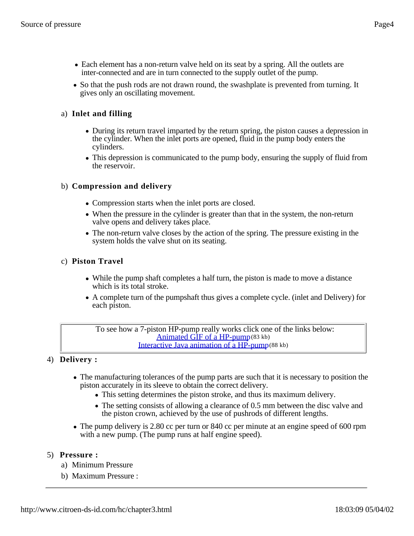- Each element has a non-return valve held on its seat by a spring. All the outlets are inter-connected and are in turn connected to the supply outlet of the pump.
- So that the push rods are not drawn round, the swashplate is prevented from turning. It gives only an oscillating movement.

# a) **Inlet and filling**

- During its return travel imparted by the return spring, the piston causes a depression in the cylinder. When the inlet ports are opened, fluid in the pump body enters the cylinders.
- This depression is communicated to the pump body, ensuring the supply of fluid from the reservoir.

# b) **Compression and delivery**

- Compression starts when the inlet ports are closed.
- When the pressure in the cylinder is greater than that in the system, the non-return valve opens and delivery takes place.
- The non-return valve closes by the action of the spring. The pressure existing in the system holds the valve shut on its seating.

## c) **Piston Travel**

- While the pump shaft completes a half turn, the piston is made to move a distance which is its total stroke.
- A complete turn of the pumpshaft thus gives a complete cycle. (inlet and Delivery) for each piston.

To see how a 7-piston HP-pump really works click one of the links below: Animated GIF of a HP-pump(83 kb) Interactive Java animation of a HP-pump(88 kb)

# 4) **Delivery :**

- The manufacturing tolerances of the pump parts are such that it is necessary to position the piston accurately in its sleeve to obtain the correct delivery.
	- This setting determines the piston stroke, and thus its maximum delivery.
	- The setting consists of allowing a clearance of 0.5 mm between the disc valve and the piston crown, achieved by the use of pushrods of different lengths.
- The pump delivery is 2.80 cc per turn or 840 cc per minute at an engine speed of 600 rpm with a new pump. (The pump runs at half engine speed).

#### 5) **Pressure :**

- a) Minimum Pressure
- b) Maximum Pressure :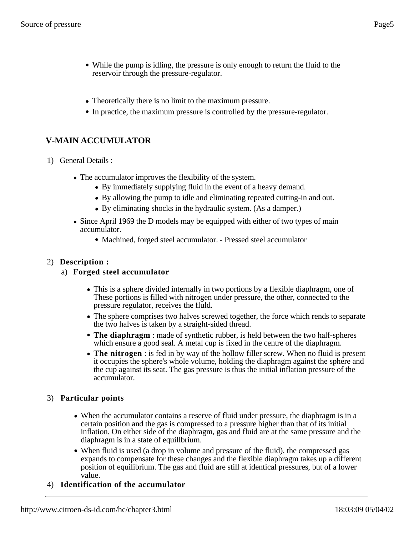- While the pump is idling, the pressure is only enough to return the fluid to the reservoir through the pressure-regulator.
- Theoretically there is no limit to the maximum pressure.
- In practice, the maximum pressure is controlled by the pressure-regulator.

# **V-MAIN ACCUMULATOR**

- 1) General Details :
	- The accumulator improves the flexibility of the system.
		- By immediately supplying fluid in the event of a heavy demand.
		- By allowing the pump to idle and eliminating repeated cutting-in and out.
		- By eliminating shocks in the hydraulic system. (As a damper.)
	- Since April 1969 the D models may be equipped with either of two types of main accumulator.
		- Machined, forged steel accumulator. Pressed steel accumulator

## 2) **Description :**

## a) **Forged steel accumulator**

- This is a sphere divided internally in two portions by a flexible diaphragm, one of These portions is filled with nitrogen under pressure, the other, connected to the pressure regulator, receives the fluld.
- The sphere comprises two halves screwed together, the force which rends to separate the two halves is taken by a straight-sided thread.
- **The diaphragm** : made of synthetic rubber, is held between the two half-spheres which ensure a good seal. A metal cup is fixed in the centre of the diaphragm.
- **The nitrogen** : is fed in by way of the hollow filler screw. When no fluid is present it occupies the sphere's whole volume, holding the diaphragm against the sphere and the cup against its seat. The gas pressure is thus the initial inflation pressure of the accumulator.

# 3) **Particular points**

- When the accumulator contains a reserve of fluid under pressure, the diaphragm is in a certain position and the gas is compressed to a pressure higher than that of its initial inflation. On either side of the diaphragm, gas and fluid are at the same pressure and the diaphragm is in a state of equillbrium.
- When fluid is used (a drop in volume and pressure of the fluid), the compressed gas expands to compensate for these changes and the flexible diaphragm takes up a different position of equilibrium. The gas and fluid are still at identical pressures, but of a lower value.
- 4) **Identification of the accumulator**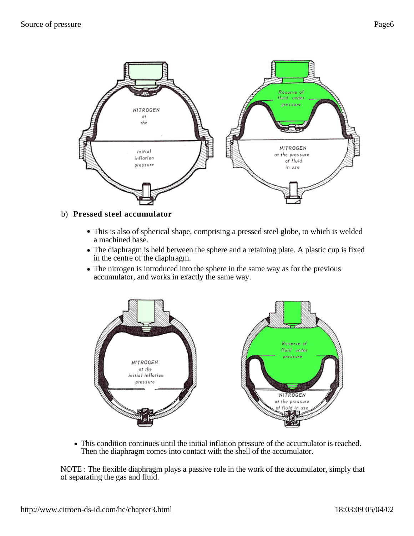

#### b) **Pressed steel accumulator**

- This is also of spherical shape, comprising a pressed steel globe, to which is welded a machined base.
- The diaphragm is held between the sphere and a retaining plate. A plastic cup is fixed in the centre of the diaphragm.
- The nitrogen is introduced into the sphere in the same way as for the previous accumulator, and works in exactly the same way.



This condition continues until the initial inflation pressure of the accumulator is reached. Then the diaphragm comes into contact with the shell of the accumulator.

NOTE : The flexible diaphragm plays a passive role in the work of the accumulator, simply that of separating the gas and fluid.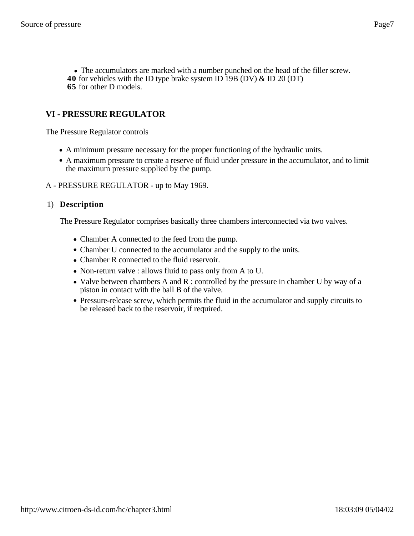The accumulators are marked with a number punched on the head of the filler screw. **40** for vehicles with the ID type brake system ID 19B (DV) & ID 20 (DT) **65** for other D models.

# **VI - PRESSURE REGULATOR**

The Pressure Regulator controls

- A minimum pressure necessary for the proper functioning of the hydraulic units.
- A maximum pressure to create a reserve of fluid under pressure in the accumulator, and to limit the maximum pressure supplied by the pump.
- A PRESSURE REGULATOR up to May 1969.

#### 1) **Description**

The Pressure Regulator comprises basically three chambers interconnected via two valves.

- Chamber A connected to the feed from the pump.
- Chamber U connected to the accumulator and the supply to the units.
- Chamber R connected to the fluid reservoir.
- Non-return valve : allows fluid to pass only from A to U.
- Valve between chambers A and  $R$  : controlled by the pressure in chamber U by way of a piston in contact with the ball B of the valve.
- Pressure-release screw, which permits the fluid in the accumulator and supply circuits to be released back to the reservoir, if required.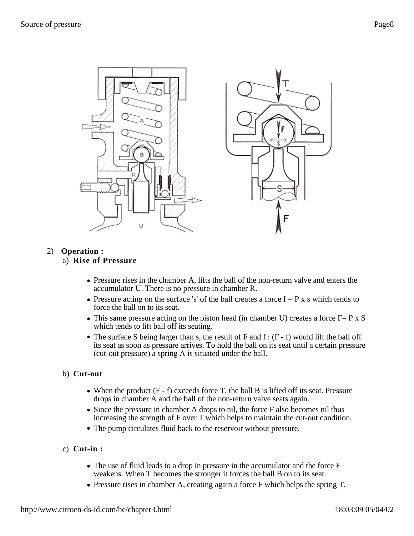

## 2) **Operation :**

#### a) **Rise of Pressure**

- Pressure rises in the chamber A, lifts the ball of the non-return valve and enters the accumulator U. There is no pressure in chamber R.
- Pressure acting on the surface 's' of the ball creates a force  $f = P x s$  which tends to force the ball on to its seat.
- This same pressure acting on the piston head (in chamber U) creates a force  $F = P \times S$ which tends to lift ball off its seating.
- The surface S being larger than s, the result of F and  $f : (F f)$  would lift the ball off its seat as soon as pressure arrives. To hold the ball on its seat until a certain pressure (cut-out pressure) a spring A is situated under the ball.

## b) **Cut-out**

- When the product  $(F f)$  exceeds force T, the ball B is lifted off its seat. Pressure drops in chamber A and the ball of the non-return valve seats again.
- Since the pressure in chamber A drops to nil, the force F also becomes nil thus increasing the strength of F over T which helps to maintain the cut-out condition.
- The pump circulates fluid back to the reservoir without pressure.
- c) **Cut-in :**
	- $\bullet$  The use of fluid leads to a drop in pressure in the accumulator and the force F weakens. When T becomes the stronger it forces the ball B on to its seat.
	- Pressure rises in chamber A, creating again a force F which helps the spring T.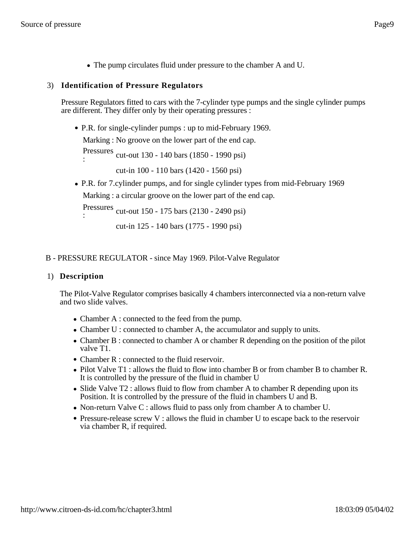The pump circulates fluid under pressure to the chamber A and U.

#### 3) **Identification of Pressure Regulators**

Pressure Regulators fitted to cars with the 7-cylinder type pumps and the single cylinder pumps are different. They differ only by their operating pressures :

P.R. for single-cylinder pumps : up to mid-February 1969.

Marking : No groove on the lower part of the end cap.

Pressures : cut-out 130 - 140 bars (1850 - 1990 psi)

cut-in 100 - 110 bars (1420 - 1560 psi)

P.R. for 7.cylinder pumps, and for single cylinder types from mid-February 1969 Marking : a circular groove on the lower part of the end cap.

Pressures : cut-out 150 - 175 bars (2130 - 2490 psi)

```
cut-in 125 - 140 bars (1775 - 1990 psi)
```
#### B - PRESSURE REGULATOR - since May 1969. Pilot-Valve Regulator

#### 1) **Description**

The Pilot-Valve Regulator comprises basically 4 chambers interconnected via a non-return valve and two slide valves.

- Chamber A : connected to the feed from the pump.
- Chamber U : connected to chamber A, the accumulator and supply to units.
- Chamber B : connected to chamber A or chamber R depending on the position of the pilot valve T1.
- Chamber R : connected to the fluid reservoir.
- Pilot Valve T1 : allows the fluid to flow into chamber B or from chamber B to chamber R. It is controlled by the pressure of the fluid in chamber U
- Slide Valve T2 : allows fluid to flow from chamber A to chamber R depending upon its Position. It is controlled by the pressure of the fluid in chambers U and B.
- Non-return Valve C : allows fluid to pass only from chamber A to chamber U.
- Pressure-release screw V : allows the fluid in chamber U to escape back to the reservoir via chamber R, if required.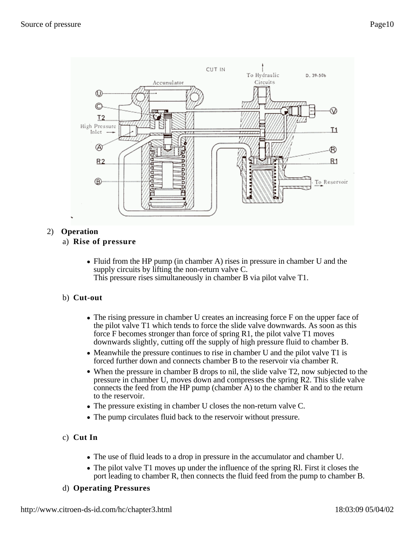

# 2) **Operation**

#### a) **Rise of pressure**

• Fluid from the HP pump (in chamber A) rises in pressure in chamber U and the supply circuits by lifting the non-return valve C. This pressure rises simultaneously in chamber B via pilot valve T1.

#### b) **Cut-out**

- The rising pressure in chamber U creates an increasing force F on the upper face of the pilot valve T1 which tends to force the slide valve downwards. As soon as this force F becomes stronger than force of spring R1, the pilot valve T1 moves downwards slightly, cutting off the supply of high pressure fluid to chamber B.
- Meanwhile the pressure continues to rise in chamber U and the pilot valve T1 is forced further down and connects chamber B to the reservoir via chamber R.
- When the pressure in chamber B drops to nil, the slide valve T2, now subjected to the pressure in chamber U, moves down and compresses the spring R2. This slide valve connects the feed from the HP pump (chamber A) to the chamber R and to the return to the reservoir.
- The pressure existing in chamber U closes the non-return valve C.
- The pump circulates fluid back to the reservoir without pressure.

# c) **Cut In**

- The use of fluid leads to a drop in pressure in the accumulator and chamber U.
- The pilot valve T1 moves up under the influence of the spring Rl. First it closes the port leading to chamber R, then connects the fluid feed from the pump to chamber B.

# d) **Operating Pressures**